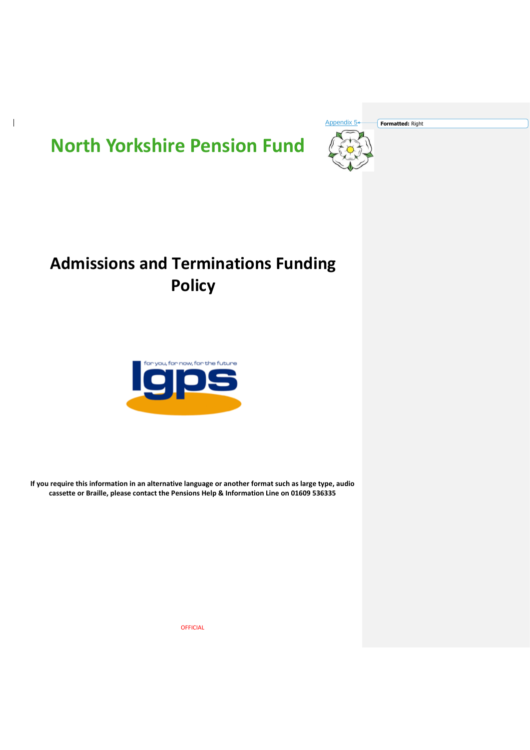

 $\overline{\phantom{a}}$ 



# **Admissions and Terminations Funding Policy**



**If you require this information in an alternative language or another format such as large type, audio cassette or Braille, please contact the Pensions Help & Information Line on 01609 536335**

OFFICIAL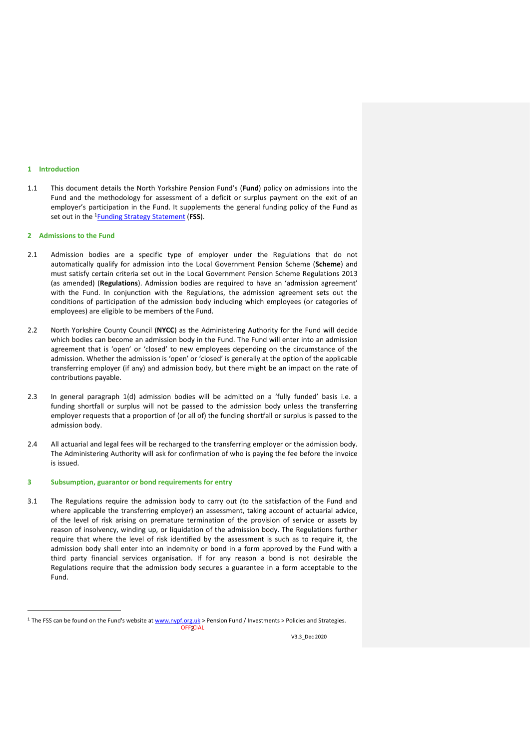#### **1 Introduction**

 $\overline{a}$ 

1.1 This document details the North Yorkshire Pension Fund's (**Fund**) policy on admissions into the Fund and the methodology for assessment of a deficit or surplus payment on the exit of an employer's participation in the Fund. It supplements the general funding policy of the Fund as set out in the <sup>1</sup>[Funding Strategy Statement](https://www.nypf.org.uk/nypf/policiesandstrategies.shtml) (**FSS**).

#### **2 Admissions to the Fund**

- 2.1 Admission bodies are a specific type of employer under the Regulations that do not automatically qualify for admission into the Local Government Pension Scheme (**Scheme**) and must satisfy certain criteria set out in the Local Government Pension Scheme Regulations 2013 (as amended) (**Regulations**). Admission bodies are required to have an 'admission agreement' with the Fund. In conjunction with the Regulations, the admission agreement sets out the conditions of participation of the admission body including which employees (or categories of employees) are eligible to be members of the Fund.
- 2.2 North Yorkshire County Council (**NYCC**) as the Administering Authority for the Fund will decide which bodies can become an admission body in the Fund. The Fund will enter into an admission agreement that is 'open' or 'closed' to new employees depending on the circumstance of the admission. Whether the admission is 'open' or 'closed' is generally at the option of the applicable transferring employer (if any) and admission body, but there might be an impact on the rate of contributions payable.
- 2.3 In general paragraph 1(d) admission bodies will be admitted on a 'fully funded' basis i.e. a funding shortfall or surplus will not be passed to the admission body unless the transferring employer requests that a proportion of (or all of) the funding shortfall or surplus is passed to the admission body.
- 2.4 All actuarial and legal fees will be recharged to the transferring employer or the admission body. The Administering Authority will ask for confirmation of who is paying the fee before the invoice is issued.

# **3 Subsumption, guarantor or bond requirements for entry**

3.1 The Regulations require the admission body to carry out (to the satisfaction of the Fund and where applicable the transferring employer) an assessment, taking account of actuarial advice, of the level of risk arising on premature termination of the provision of service or assets by reason of insolvency, winding up, or liquidation of the admission body. The Regulations further require that where the level of risk identified by the assessment is such as to require it, the admission body shall enter into an indemnity or bond in a form approved by the Fund with a third party financial services organisation. If for any reason a bond is not desirable the Regulations require that the admission body secures a guarantee in a form acceptable to the Fund.

**OFFICIAL** <sup>1</sup> The FSS can be found on the Fund's website a[t www.nypf.org.uk](http://www.nypf.org.uk/) > Pension Fund / Investments > Policies and Strategies.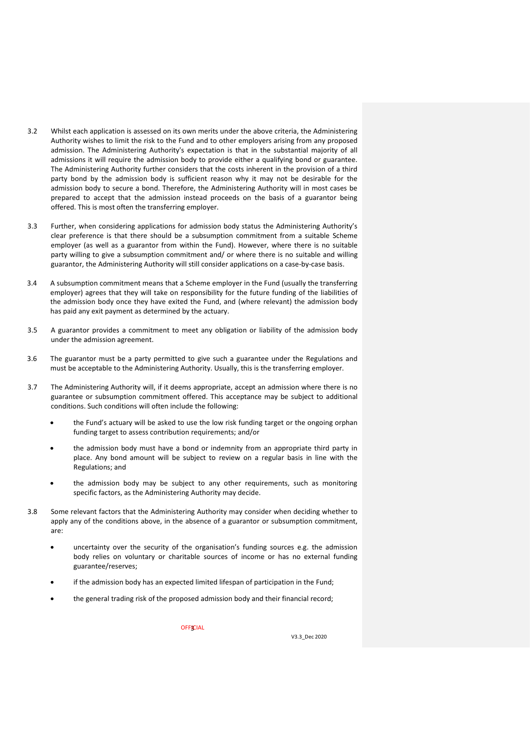- 3.2 Whilst each application is assessed on its own merits under the above criteria, the Administering Authority wishes to limit the risk to the Fund and to other employers arising from any proposed admission. The Administering Authority's expectation is that in the substantial majority of all admissions it will require the admission body to provide either a qualifying bond or guarantee. The Administering Authority further considers that the costs inherent in the provision of a third party bond by the admission body is sufficient reason why it may not be desirable for the admission body to secure a bond. Therefore, the Administering Authority will in most cases be prepared to accept that the admission instead proceeds on the basis of a guarantor being offered. This is most often the transferring employer.
- 3.3 Further, when considering applications for admission body status the Administering Authority's clear preference is that there should be a subsumption commitment from a suitable Scheme employer (as well as a guarantor from within the Fund). However, where there is no suitable party willing to give a subsumption commitment and/ or where there is no suitable and willing guarantor, the Administering Authority will still consider applications on a case-by-case basis.
- 3.4 A subsumption commitment means that a Scheme employer in the Fund (usually the transferring employer) agrees that they will take on responsibility for the future funding of the liabilities of the admission body once they have exited the Fund, and (where relevant) the admission body has paid any exit payment as determined by the actuary.
- 3.5 A guarantor provides a commitment to meet any obligation or liability of the admission body under the admission agreement.
- 3.6 The guarantor must be a party permitted to give such a guarantee under the Regulations and must be acceptable to the Administering Authority. Usually, this is the transferring employer.
- 3.7 The Administering Authority will, if it deems appropriate, accept an admission where there is no guarantee or subsumption commitment offered. This acceptance may be subject to additional conditions. Such conditions will often include the following:
	- the Fund's actuary will be asked to use the low risk funding target or the ongoing orphan funding target to assess contribution requirements; and/or
	- the admission body must have a bond or indemnity from an appropriate third party in place. Any bond amount will be subject to review on a regular basis in line with the Regulations; and
	- the admission body may be subject to any other requirements, such as monitoring specific factors, as the Administering Authority may decide.
- 3.8 Some relevant factors that the Administering Authority may consider when deciding whether to apply any of the conditions above, in the absence of a guarantor or subsumption commitment, are:
	- uncertainty over the security of the organisation's funding sources e.g. the admission body relies on voluntary or charitable sources of income or has no external funding guarantee/reserves;
	- if the admission body has an expected limited lifespan of participation in the Fund;
	- the general trading risk of the proposed admission body and their financial record;

**OFFICIAL**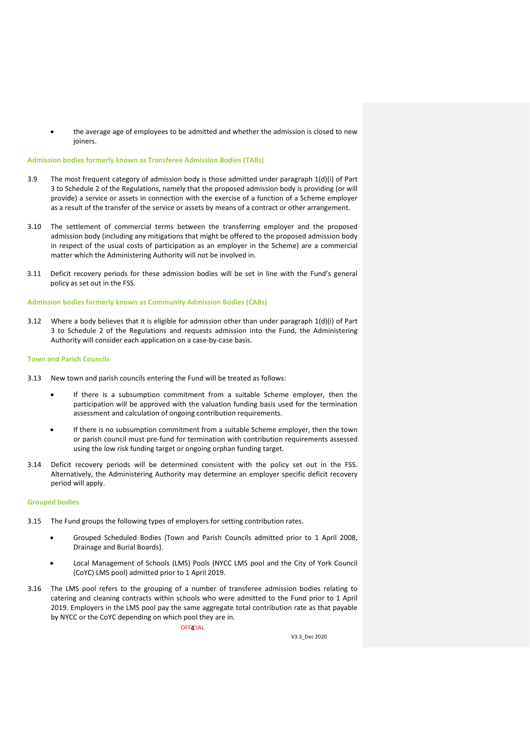the average age of employees to be admitted and whether the admission is closed to new joiners.

# **Admission bodies formerly known as Transferee Admission Bodies (TABs)**

- 3.9 The most frequent category of admission body is those admitted under paragraph 1(d)(i) of Part 3 to Schedule 2 of the Regulations, namely that the proposed admission body is providing (or will provide) a service or assets in connection with the exercise of a function of a Scheme employer as a result of the transfer of the service or assets by means of a contract or other arrangement.
- 3.10 The settlement of commercial terms between the transferring employer and the proposed admission body (including any mitigations that might be offered to the proposed admission body in respect of the usual costs of participation as an employer in the Scheme) are a commercial matter which the Administering Authority will not be involved in.
- 3.11 Deficit recovery periods for these admission bodies will be set in line with the Fund's general policy as set out in the FSS*.*

## **Admission bodies formerly known as Community Admission Bodies (CABs)**

3.12 Where a body believes that it is eligible for admission other than under paragraph 1(d)(i) of Part 3 to Schedule 2 of the Regulations and requests admission into the Fund, the Administering Authority will consider each application on a case-by-case basis.

## **Town and Parish Councils**

- 3.13 New town and parish councils entering the Fund will be treated as follows:
	- If there is a subsumption commitment from a suitable Scheme employer, then the participation will be approved with the valuation funding basis used for the termination assessment and calculation of ongoing contribution requirements.
	- If there is no subsumption commitment from a suitable Scheme employer, then the town or parish council must pre-fund for termination with contribution requirements assessed using the low risk funding target or ongoing orphan funding target.
- 3.14 Deficit recovery periods will be determined consistent with the policy set out in the FSS. Alternatively, the Administering Authority may determine an employer specific deficit recovery period will apply.

# **Grouped bodies**

- 3.15 The Fund groups the following types of employers for setting contribution rates.
	- Grouped Scheduled Bodies (Town and Parish Councils admitted prior to 1 April 2008, Drainage and Burial Boards).
	- Local Management of Schools (LMS) Pools (NYCC LMS pool and the City of York Council (CoYC) LMS pool) admitted prior to 1 April 2019.
- 3.16 The LMS pool refers to the grouping of a number of transferee admission bodies relating to catering and cleaning contracts within schools who were admitted to the Fund prior to 1 April 2019. Employers in the LMS pool pay the same aggregate total contribution rate as that payable by NYCC or the CoYC depending on which pool they are in.

**OFFICIAL**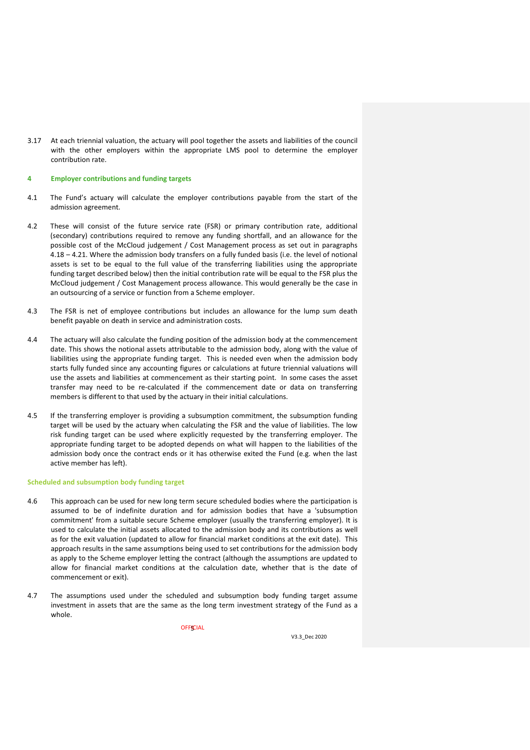3.17 At each triennial valuation, the actuary will pool together the assets and liabilities of the council with the other employers within the appropriate LMS pool to determine the employer contribution rate.

## **4 Employer contributions and funding targets**

- 4.1 The Fund's actuary will calculate the employer contributions payable from the start of the admission agreement.
- 4.2 These will consist of the future service rate (FSR) or primary contribution rate, additional (secondary) contributions required to remove any funding shortfall, and an allowance for the possible cost of the McCloud judgement / Cost Management process as set out in paragraphs 4.18 – 4.21. Where the admission body transfers on a fully funded basis (i.e. the level of notional assets is set to be equal to the full value of the transferring liabilities using the appropriate funding target described below) then the initial contribution rate will be equal to the FSR plus the McCloud judgement / Cost Management process allowance. This would generally be the case in an outsourcing of a service or function from a Scheme employer.
- 4.3 The FSR is net of employee contributions but includes an allowance for the lump sum death benefit payable on death in service and administration costs.
- 4.4 The actuary will also calculate the funding position of the admission body at the commencement date. This shows the notional assets attributable to the admission body, along with the value of liabilities using the appropriate funding target. This is needed even when the admission body starts fully funded since any accounting figures or calculations at future triennial valuations will use the assets and liabilities at commencement as their starting point. In some cases the asset transfer may need to be re-calculated if the commencement date or data on transferring members is different to that used by the actuary in their initial calculations.
- 4.5 If the transferring employer is providing a subsumption commitment, the subsumption funding target will be used by the actuary when calculating the FSR and the value of liabilities. The low risk funding target can be used where explicitly requested by the transferring employer. The appropriate funding target to be adopted depends on what will happen to the liabilities of the admission body once the contract ends or it has otherwise exited the Fund (e.g. when the last active member has left).

# **Scheduled and subsumption body funding target**

- 4.6 This approach can be used for new long term secure scheduled bodies where the participation is assumed to be of indefinite duration and for admission bodies that have a 'subsumption commitment' from a suitable secure Scheme employer (usually the transferring employer). It is used to calculate the initial assets allocated to the admission body and its contributions as well as for the exit valuation (updated to allow for financial market conditions at the exit date). This approach results in the same assumptions being used to set contributions for the admission body as apply to the Scheme employer letting the contract (although the assumptions are updated to allow for financial market conditions at the calculation date, whether that is the date of commencement or exit).
- 4.7 The assumptions used under the scheduled and subsumption body funding target assume investment in assets that are the same as the long term investment strategy of the Fund as a whole.

**OFFICIAL**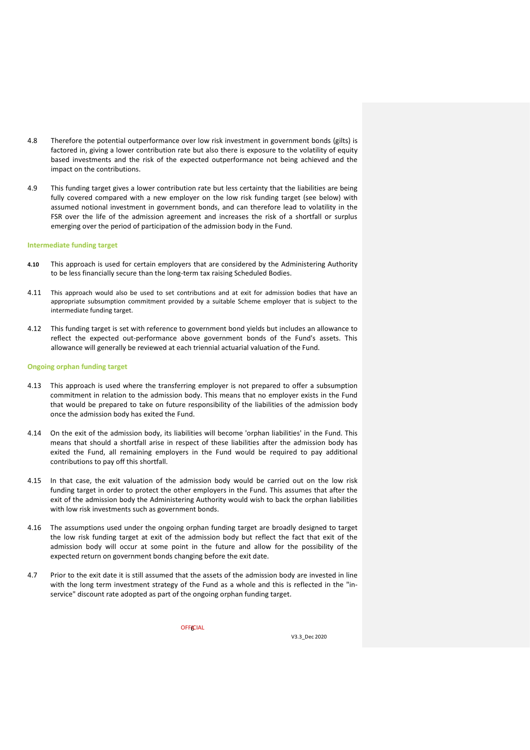- 4.8 Therefore the potential outperformance over low risk investment in government bonds (gilts) is factored in, giving a lower contribution rate but also there is exposure to the volatility of equity based investments and the risk of the expected outperformance not being achieved and the impact on the contributions.
- 4.9 This funding target gives a lower contribution rate but less certainty that the liabilities are being fully covered compared with a new employer on the low risk funding target (see below) with assumed notional investment in government bonds, and can therefore lead to volatility in the FSR over the life of the admission agreement and increases the risk of a shortfall or surplus emerging over the period of participation of the admission body in the Fund.

## **Intermediate funding target**

- **4.10** This approach is used for certain employers that are considered by the Administering Authority to be less financially secure than the long-term tax raising Scheduled Bodies.
- 4.11 This approach would also be used to set contributions and at exit for admission bodies that have an appropriate subsumption commitment provided by a suitable Scheme employer that is subject to the intermediate funding target.
- 4.12 This funding target is set with reference to government bond yields but includes an allowance to reflect the expected out-performance above government bonds of the Fund's assets. This allowance will generally be reviewed at each triennial actuarial valuation of the Fund.

## **Ongoing orphan funding target**

- 4.13 This approach is used where the transferring employer is not prepared to offer a subsumption commitment in relation to the admission body. This means that no employer exists in the Fund that would be prepared to take on future responsibility of the liabilities of the admission body once the admission body has exited the Fund.
- 4.14 On the exit of the admission body, its liabilities will become 'orphan liabilities' in the Fund. This means that should a shortfall arise in respect of these liabilities after the admission body has exited the Fund, all remaining employers in the Fund would be required to pay additional contributions to pay off this shortfall.
- 4.15 In that case, the exit valuation of the admission body would be carried out on the low risk funding target in order to protect the other employers in the Fund. This assumes that after the exit of the admission body the Administering Authority would wish to back the orphan liabilities with low risk investments such as government bonds.
- 4.16 The assumptions used under the ongoing orphan funding target are broadly designed to target the low risk funding target at exit of the admission body but reflect the fact that exit of the admission body will occur at some point in the future and allow for the possibility of the expected return on government bonds changing before the exit date.
- 4.7 Prior to the exit date it is still assumed that the assets of the admission body are invested in line with the long term investment strategy of the Fund as a whole and this is reflected in the "inservice" discount rate adopted as part of the ongoing orphan funding target.

**OFFICIAL**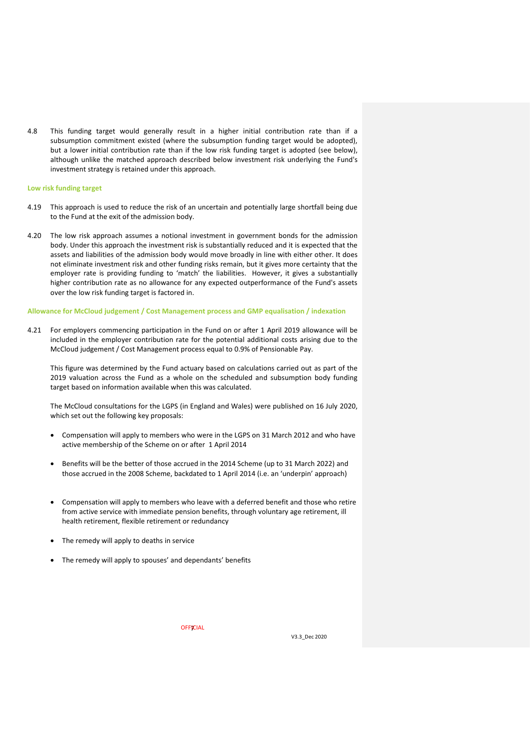4.8 This funding target would generally result in a higher initial contribution rate than if a subsumption commitment existed (where the subsumption funding target would be adopted), but a lower initial contribution rate than if the low risk funding target is adopted (see below), although unlike the matched approach described below investment risk underlying the Fund's investment strategy is retained under this approach.

# **Low risk funding target**

- 4.19 This approach is used to reduce the risk of an uncertain and potentially large shortfall being due to the Fund at the exit of the admission body.
- 4.20 The low risk approach assumes a notional investment in government bonds for the admission body. Under this approach the investment risk is substantially reduced and it is expected that the assets and liabilities of the admission body would move broadly in line with either other. It does not eliminate investment risk and other funding risks remain, but it gives more certainty that the employer rate is providing funding to 'match' the liabilities. However, it gives a substantially higher contribution rate as no allowance for any expected outperformance of the Fund's assets over the low risk funding target is factored in.

## **Allowance for McCloud judgement / Cost Management process and GMP equalisation / indexation**

4.21 For employers commencing participation in the Fund on or after 1 April 2019 allowance will be included in the employer contribution rate for the potential additional costs arising due to the McCloud judgement / Cost Management process equal to 0.9% of Pensionable Pay.

This figure was determined by the Fund actuary based on calculations carried out as part of the 2019 valuation across the Fund as a whole on the scheduled and subsumption body funding target based on information available when this was calculated.

The McCloud consultations for the LGPS (in England and Wales) were published on 16 July 2020, which set out the following key proposals:

- Compensation will apply to members who were in the LGPS on 31 March 2012 and who have active membership of the Scheme on or after 1 April 2014
- Benefits will be the better of those accrued in the 2014 Scheme (up to 31 March 2022) and those accrued in the 2008 Scheme, backdated to 1 April 2014 (i.e. an 'underpin' approach)
- Compensation will apply to members who leave with a deferred benefit and those who retire from active service with immediate pension benefits, through voluntary age retirement, ill health retirement, flexible retirement or redundancy
- The remedy will apply to deaths in service
- The remedy will apply to spouses' and dependants' benefits

**OFFICIAL**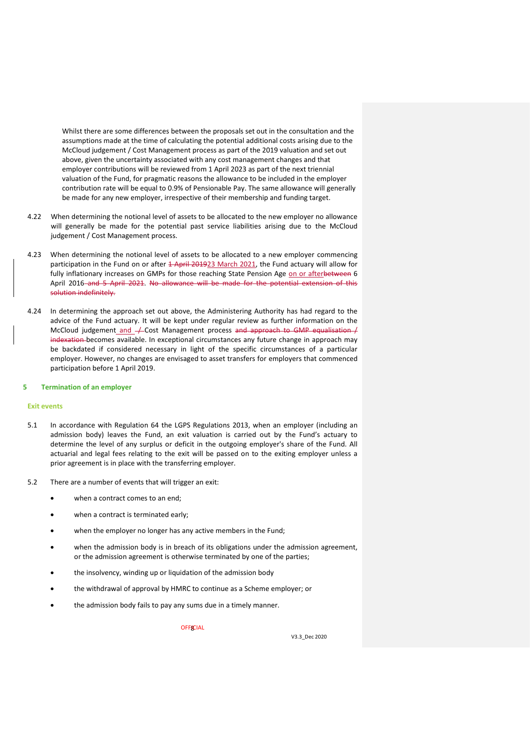Whilst there are some differences between the proposals set out in the consultation and the assumptions made at the time of calculating the potential additional costs arising due to the McCloud judgement / Cost Management process as part of the 2019 valuation and set out above, given the uncertainty associated with any cost management changes and that employer contributions will be reviewed from 1 April 2023 as part of the next triennial valuation of the Fund, for pragmatic reasons the allowance to be included in the employer contribution rate will be equal to 0.9% of Pensionable Pay. The same allowance will generally be made for any new employer, irrespective of their membership and funding target.

- 4.22 When determining the notional level of assets to be allocated to the new employer no allowance will generally be made for the potential past service liabilities arising due to the McCloud judgement / Cost Management process.
- 4.23 When determining the notional level of assets to be allocated to a new employer commencing participation in the Fund on or after 4 April 201923 March 2021, the Fund actuary will allow for fully inflationary increases on GMPs for those reaching State Pension Age on or afterbetween 6 April 2016 and 5 April 2021. No allowance will be made for the potential extension of this solution indefinitely.
- 4.24 In determining the approach set out above, the Administering Authority has had regard to the advice of the Fund actuary. It will be kept under regular review as further information on the McCloud judgement\_and\_/ Cost Management process and approach to GMP equalisation / indexation becomes available. In exceptional circumstances any future change in approach may be backdated if considered necessary in light of the specific circumstances of a particular employer. However, no changes are envisaged to asset transfers for employers that commenced participation before 1 April 2019.

#### **5 Termination of an employer**

# **Exit events**

- 5.1 In accordance with Regulation 64 the LGPS Regulations 2013, when an employer (including an admission body) leaves the Fund, an exit valuation is carried out by the Fund's actuary to determine the level of any surplus or deficit in the outgoing employer's share of the Fund. All actuarial and legal fees relating to the exit will be passed on to the exiting employer unless a prior agreement is in place with the transferring employer.
- 5.2 There are a number of events that will trigger an exit:
	- when a contract comes to an end;
	- when a contract is terminated early;
	- when the employer no longer has any active members in the Fund;
	- when the admission body is in breach of its obligations under the admission agreement, or the admission agreement is otherwise terminated by one of the parties;
	- the insolvency, winding up or liquidation of the admission body
	- the withdrawal of approval by HMRC to continue as a Scheme employer; or
	- the admission body fails to pay any sums due in a timely manner.

**OFFICIAL**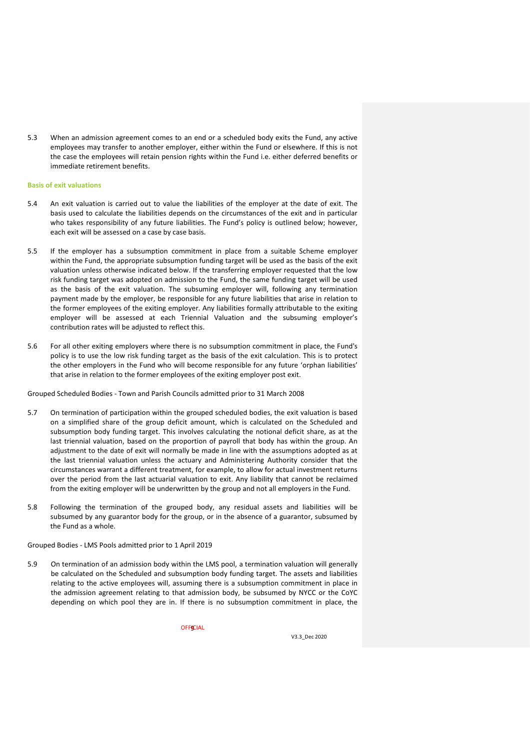5.3 When an admission agreement comes to an end or a scheduled body exits the Fund, any active employees may transfer to another employer, either within the Fund or elsewhere. If this is not the case the employees will retain pension rights within the Fund i.e. either deferred benefits or immediate retirement benefits.

## **Basis of exit valuations**

- 5.4 An exit valuation is carried out to value the liabilities of the employer at the date of exit. The basis used to calculate the liabilities depends on the circumstances of the exit and in particular who takes responsibility of any future liabilities. The Fund's policy is outlined below; however, each exit will be assessed on a case by case basis.
- 5.5 If the employer has a subsumption commitment in place from a suitable Scheme employer within the Fund, the appropriate subsumption funding target will be used as the basis of the exit valuation unless otherwise indicated below. If the transferring employer requested that the low risk funding target was adopted on admission to the Fund, the same funding target will be used as the basis of the exit valuation. The subsuming employer will, following any termination payment made by the employer, be responsible for any future liabilities that arise in relation to the former employees of the exiting employer. Any liabilities formally attributable to the exiting employer will be assessed at each Triennial Valuation and the subsuming employer's contribution rates will be adjusted to reflect this.
- 5.6 For all other exiting employers where there is no subsumption commitment in place, the Fund's policy is to use the low risk funding target as the basis of the exit calculation. This is to protect the other employers in the Fund who will become responsible for any future 'orphan liabilities' that arise in relation to the former employees of the exiting employer post exit.

Grouped Scheduled Bodies - Town and Parish Councils admitted prior to 31 March 2008

- 5.7 On termination of participation within the grouped scheduled bodies, the exit valuation is based on a simplified share of the group deficit amount, which is calculated on the Scheduled and subsumption body funding target. This involves calculating the notional deficit share, as at the last triennial valuation, based on the proportion of payroll that body has within the group. An adjustment to the date of exit will normally be made in line with the assumptions adopted as at the last triennial valuation unless the actuary and Administering Authority consider that the circumstances warrant a different treatment, for example, to allow for actual investment returns over the period from the last actuarial valuation to exit. Any liability that cannot be reclaimed from the exiting employer will be underwritten by the group and not all employers in the Fund.
- 5.8 Following the termination of the grouped body, any residual assets and liabilities will be subsumed by any guarantor body for the group, or in the absence of a guarantor, subsumed by the Fund as a whole.

# Grouped Bodies - LMS Pools admitted prior to 1 April 2019

5.9 On termination of an admission body within the LMS pool, a termination valuation will generally be calculated on the Scheduled and subsumption body funding target. The assets and liabilities relating to the active employees will, assuming there is a subsumption commitment in place in the admission agreement relating to that admission body, be subsumed by NYCC or the CoYC depending on which pool they are in. If there is no subsumption commitment in place, the

**OFFICIAL**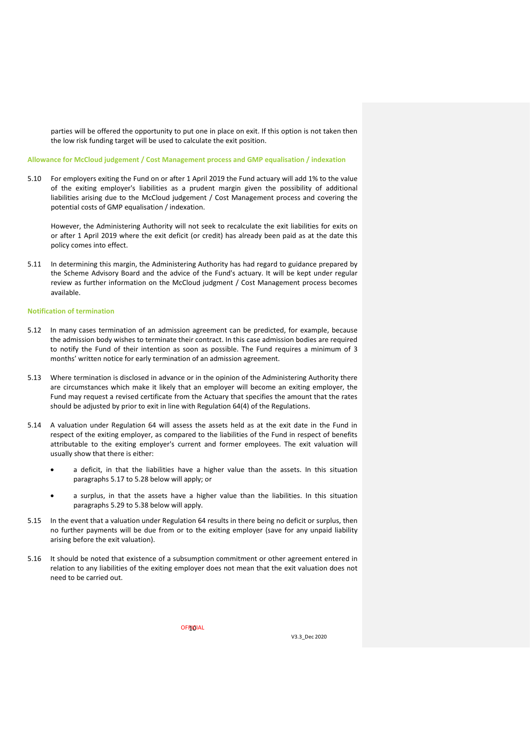parties will be offered the opportunity to put one in place on exit. If this option is not taken then the low risk funding target will be used to calculate the exit position.

# **Allowance for McCloud judgement / Cost Management process and GMP equalisation / indexation**

5.10 For employers exiting the Fund on or after 1 April 2019 the Fund actuary will add 1% to the value of the exiting employer's liabilities as a prudent margin given the possibility of additional liabilities arising due to the McCloud judgement / Cost Management process and covering the potential costs of GMP equalisation / indexation.

However, the Administering Authority will not seek to recalculate the exit liabilities for exits on or after 1 April 2019 where the exit deficit (or credit) has already been paid as at the date this policy comes into effect.

5.11 In determining this margin, the Administering Authority has had regard to guidance prepared by the Scheme Advisory Board and the advice of the Fund's actuary. It will be kept under regular review as further information on the McCloud judgment / Cost Management process becomes available.

# **Notification of termination**

- 5.12 In many cases termination of an admission agreement can be predicted, for example, because the admission body wishes to terminate their contract. In this case admission bodies are required to notify the Fund of their intention as soon as possible. The Fund requires a minimum of 3 months' written notice for early termination of an admission agreement.
- 5.13 Where termination is disclosed in advance or in the opinion of the Administering Authority there are circumstances which make it likely that an employer will become an exiting employer, the Fund may request a revised certificate from the Actuary that specifies the amount that the rates should be adjusted by prior to exit in line with Regulation 64(4) of the Regulations.
- 5.14 A valuation under Regulation 64 will assess the assets held as at the exit date in the Fund in respect of the exiting employer, as compared to the liabilities of the Fund in respect of benefits attributable to the exiting employer's current and former employees. The exit valuation will usually show that there is either:
	- a deficit, in that the liabilities have a higher value than the assets. In this situation paragraphs 5.17 to 5.28 below will apply; or
	- a surplus, in that the assets have a higher value than the liabilities. In this situation paragraphs 5.29 to 5.38 below will apply.
- 5.15 In the event that a valuation under Regulation 64 results in there being no deficit or surplus, then no further payments will be due from or to the exiting employer (save for any unpaid liability arising before the exit valuation).
- 5.16 It should be noted that existence of a subsumption commitment or other agreement entered in relation to any liabilities of the exiting employer does not mean that the exit valuation does not need to be carried out.

OFF<mark>I</mark>GIAL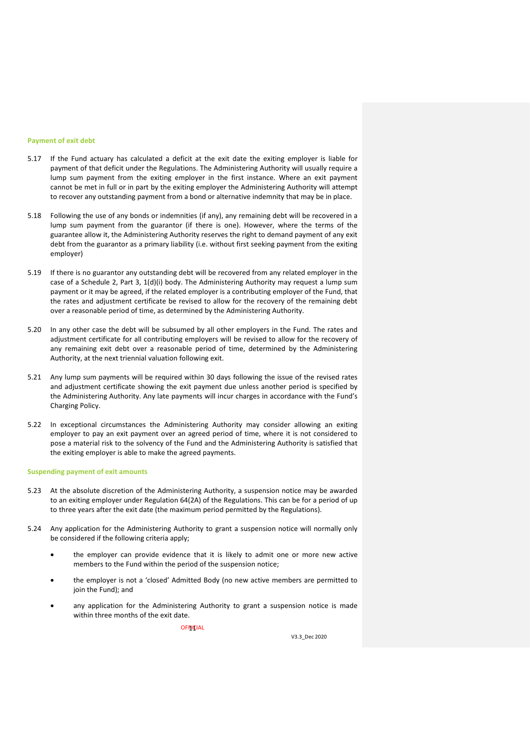# **Payment of exit debt**

- 5.17 If the Fund actuary has calculated a deficit at the exit date the exiting employer is liable for payment of that deficit under the Regulations. The Administering Authority will usually require a lump sum payment from the exiting employer in the first instance. Where an exit payment cannot be met in full or in part by the exiting employer the Administering Authority will attempt to recover any outstanding payment from a bond or alternative indemnity that may be in place.
- 5.18 Following the use of any bonds or indemnities (if any), any remaining debt will be recovered in a lump sum payment from the guarantor (if there is one). However, where the terms of the guarantee allow it, the Administering Authority reserves the right to demand payment of any exit debt from the guarantor as a primary liability (i.e. without first seeking payment from the exiting employer)
- 5.19 If there is no guarantor any outstanding debt will be recovered from any related employer in the case of a Schedule 2, Part 3, 1(d)(i) body. The Administering Authority may request a lump sum payment or it may be agreed, if the related employer is a contributing employer of the Fund, that the rates and adjustment certificate be revised to allow for the recovery of the remaining debt over a reasonable period of time, as determined by the Administering Authority.
- 5.20 In any other case the debt will be subsumed by all other employers in the Fund. The rates and adjustment certificate for all contributing employers will be revised to allow for the recovery of any remaining exit debt over a reasonable period of time, determined by the Administering Authority, at the next triennial valuation following exit.
- 5.21 Any lump sum payments will be required within 30 days following the issue of the revised rates and adjustment certificate showing the exit payment due unless another period is specified by the Administering Authority. Any late payments will incur charges in accordance with the Fund's Charging Policy.
- 5.22 In exceptional circumstances the Administering Authority may consider allowing an exiting employer to pay an exit payment over an agreed period of time, where it is not considered to pose a material risk to the solvency of the Fund and the Administering Authority is satisfied that the exiting employer is able to make the agreed payments.

# **Suspending payment of exit amounts**

- 5.23 At the absolute discretion of the Administering Authority, a suspension notice may be awarded to an exiting employer under Regulation 64(2A) of the Regulations. This can be for a period of up to three years after the exit date (the maximum period permitted by the Regulations).
- 5.24 Any application for the Administering Authority to grant a suspension notice will normally only be considered if the following criteria apply;
	- the employer can provide evidence that it is likely to admit one or more new active members to the Fund within the period of the suspension notice;
	- the employer is not a 'closed' Admitted Body (no new active members are permitted to join the Fund); and
	- any application for the Administering Authority to grant a suspension notice is made within three months of the exit date.

OFF<mark>I</mark>CIAL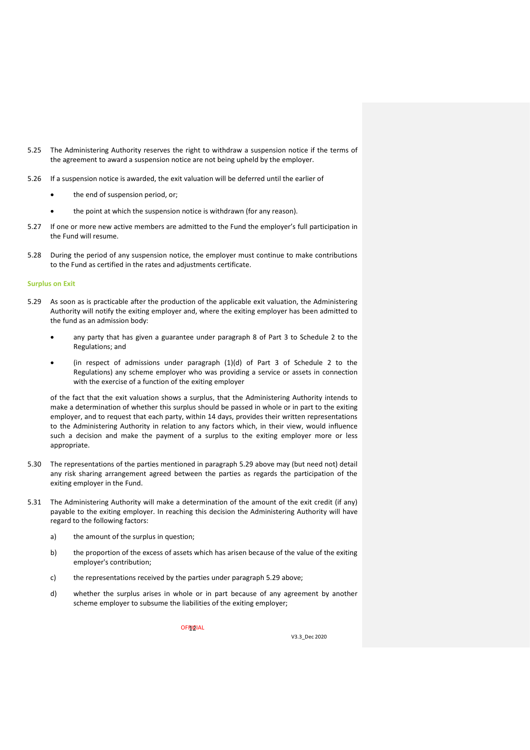- 5.25 The Administering Authority reserves the right to withdraw a suspension notice if the terms of the agreement to award a suspension notice are not being upheld by the employer.
- 5.26 If a suspension notice is awarded, the exit valuation will be deferred until the earlier of
	- the end of suspension period, or;
	- the point at which the suspension notice is withdrawn (for any reason).
- 5.27 If one or more new active members are admitted to the Fund the employer's full participation in the Fund will resume.
- 5.28 During the period of any suspension notice, the employer must continue to make contributions to the Fund as certified in the rates and adjustments certificate.

#### **Surplus on Exit**

- 5.29 As soon as is practicable after the production of the applicable exit valuation, the Administering Authority will notify the exiting employer and, where the exiting employer has been admitted to the fund as an admission body:
	- any party that has given a guarantee under paragraph 8 of Part 3 to Schedule 2 to the Regulations; and
	- (in respect of admissions under paragraph (1)(d) of Part 3 of Schedule 2 to the Regulations) any scheme employer who was providing a service or assets in connection with the exercise of a function of the exiting employer

of the fact that the exit valuation shows a surplus, that the Administering Authority intends to make a determination of whether this surplus should be passed in whole or in part to the exiting employer, and to request that each party, within 14 days, provides their written representations to the Administering Authority in relation to any factors which, in their view, would influence such a decision and make the payment of a surplus to the exiting employer more or less appropriate.

- 5.30 The representations of the parties mentioned in paragraph 5.29 above may (but need not) detail any risk sharing arrangement agreed between the parties as regards the participation of the exiting employer in the Fund.
- 5.31 The Administering Authority will make a determination of the amount of the exit credit (if any) payable to the exiting employer. In reaching this decision the Administering Authority will have regard to the following factors:
	- a) the amount of the surplus in question;
	- b) the proportion of the excess of assets which has arisen because of the value of the exiting employer's contribution;
	- c) the representations received by the parties under paragraph 5.29 above;
	- d) whether the surplus arises in whole or in part because of any agreement by another scheme employer to subsume the liabilities of the exiting employer;

OFF<mark>IQ</mark>IAL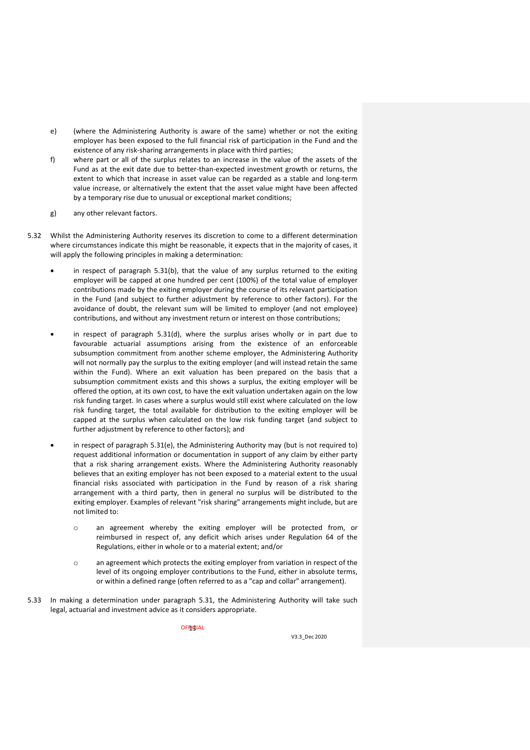- e) (where the Administering Authority is aware of the same) whether or not the exiting employer has been exposed to the full financial risk of participation in the Fund and the existence of any risk-sharing arrangements in place with third parties;
- f) where part or all of the surplus relates to an increase in the value of the assets of the Fund as at the exit date due to better-than-expected investment growth or returns, the extent to which that increase in asset value can be regarded as a stable and long-term value increase, or alternatively the extent that the asset value might have been affected by a temporary rise due to unusual or exceptional market conditions;
- g) any other relevant factors.
- 5.32 Whilst the Administering Authority reserves its discretion to come to a different determination where circumstances indicate this might be reasonable, it expects that in the majority of cases, it will apply the following principles in making a determination:
	- in respect of paragraph 5.31(b), that the value of any surplus returned to the exiting employer will be capped at one hundred per cent (100%) of the total value of employer contributions made by the exiting employer during the course of its relevant participation in the Fund (and subject to further adjustment by reference to other factors). For the avoidance of doubt, the relevant sum will be limited to employer (and not employee) contributions, and without any investment return or interest on those contributions;
	- in respect of paragraph 5.31(d), where the surplus arises wholly or in part due to favourable actuarial assumptions arising from the existence of an enforceable subsumption commitment from another scheme employer, the Administering Authority will not normally pay the surplus to the exiting employer (and will instead retain the same within the Fund). Where an exit valuation has been prepared on the basis that a subsumption commitment exists and this shows a surplus, the exiting employer will be offered the option, at its own cost, to have the exit valuation undertaken again on the low risk funding target. In cases where a surplus would still exist where calculated on the low risk funding target, the total available for distribution to the exiting employer will be capped at the surplus when calculated on the low risk funding target (and subject to further adjustment by reference to other factors); and
	- in respect of paragraph 5.31(e), the Administering Authority may (but is not required to) request additional information or documentation in support of any claim by either party that a risk sharing arrangement exists. Where the Administering Authority reasonably believes that an exiting employer has not been exposed to a material extent to the usual financial risks associated with participation in the Fund by reason of a risk sharing arrangement with a third party, then in general no surplus will be distributed to the exiting employer. Examples of relevant "risk sharing" arrangements might include, but are not limited to:
		- o an agreement whereby the exiting employer will be protected from, or reimbursed in respect of, any deficit which arises under Regulation 64 of the Regulations, either in whole or to a material extent; and/or
		- o an agreement which protects the exiting employer from variation in respect of the level of its ongoing employer contributions to the Fund, either in absolute terms, or within a defined range (often referred to as a "cap and collar" arrangement).
- 5.33 In making a determination under paragraph 5.31, the Administering Authority will take such legal, actuarial and investment advice as it considers appropriate.

OFF<mark>I</mark>GIAL